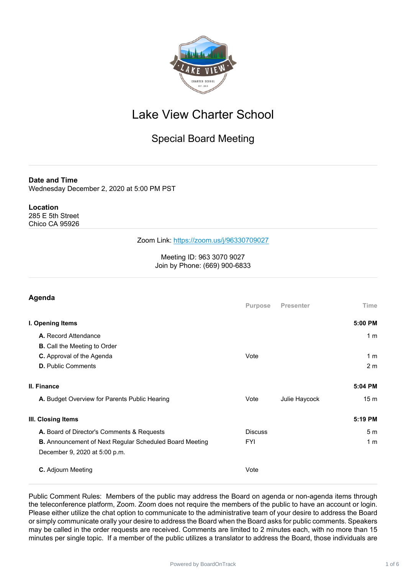

## Lake View Charter School

### Special Board Meeting

**Date and Time**

Wednesday December 2, 2020 at 5:00 PM PST

#### **Location**

285 E 5th Street Chico CA 95926

#### Zoom Link: <https://zoom.us/j/96330709027>

Meeting ID: 963 3070 9027 Join by Phone: (669) 900-6833

| Time<br>5:00 PM |
|-----------------|
|                 |
|                 |
| 1 <sub>m</sub>  |
|                 |
| 1 <sub>m</sub>  |
| 2 <sub>m</sub>  |
| 5:04 PM         |
| 15 <sub>m</sub> |
| 5:19 PM         |
| 5 <sub>m</sub>  |
| 1 <sub>m</sub>  |
|                 |
|                 |
|                 |

Public Comment Rules: Members of the public may address the Board on agenda or non-agenda items through the teleconference platform, Zoom. Zoom does not require the members of the public to have an account or login. Please either utilize the chat option to communicate to the administrative team of your desire to address the Board or simply communicate orally your desire to address the Board when the Board asks for public comments. Speakers may be called in the order requests are received. Comments are limited to 2 minutes each, with no more than 15 minutes per single topic. If a member of the public utilizes a translator to address the Board, those individuals are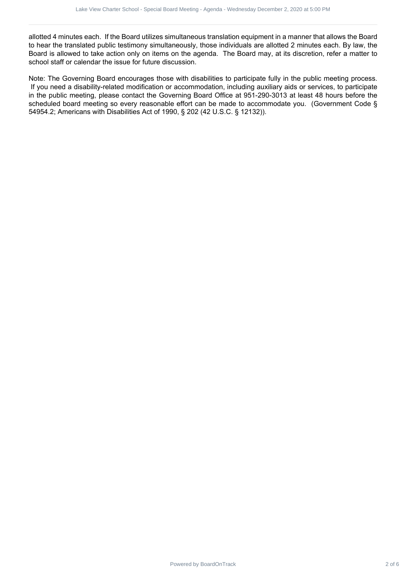allotted 4 minutes each. If the Board utilizes simultaneous translation equipment in a manner that allows the Board to hear the translated public testimony simultaneously, those individuals are allotted 2 minutes each. By law, the Board is allowed to take action only on items on the agenda. The Board may, at its discretion, refer a matter to school staff or calendar the issue for future discussion.

Note: The Governing Board encourages those with disabilities to participate fully in the public meeting process. If you need a disability-related modification or accommodation, including auxiliary aids or services, to participate in the public meeting, please contact the Governing Board Office at 951-290-3013 at least 48 hours before the scheduled board meeting so every reasonable effort can be made to accommodate you. (Government Code § 54954.2; Americans with Disabilities Act of 1990, § 202 (42 U.S.C. § 12132)). ais the Charter School - Contract 2 of 2 6Lake View Charter School - Special Board Board - Special Board School - Special Board School - Special Board School - Special Board School - Special Board School - Special Board Sc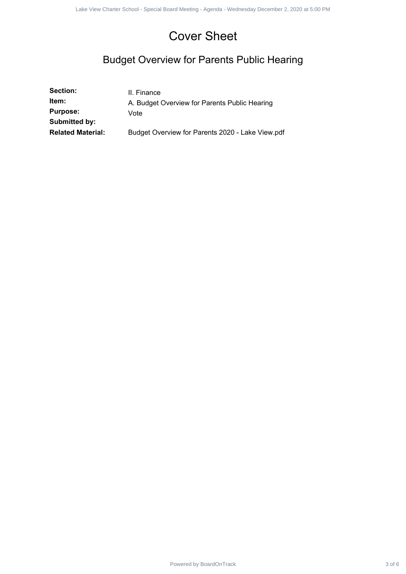# Cover Sheet

## Budget Overview for Parents Public Hearing

|                                                       | <b>Cover Sheet</b>                                                   |        |
|-------------------------------------------------------|----------------------------------------------------------------------|--------|
| <b>Budget Overview for Parents Public Hearing</b>     |                                                                      |        |
| Section:<br>Item:<br><b>Purpose:</b><br>Submitted by: | II. Finance<br>A. Budget Overview for Parents Public Hearing<br>Vote |        |
| <b>Related Material:</b>                              | Budget Overview for Parents 2020 - Lake View.pdf                     |        |
|                                                       |                                                                      |        |
|                                                       |                                                                      |        |
|                                                       |                                                                      |        |
|                                                       |                                                                      |        |
|                                                       |                                                                      |        |
|                                                       |                                                                      |        |
|                                                       |                                                                      |        |
|                                                       |                                                                      |        |
|                                                       |                                                                      |        |
|                                                       |                                                                      |        |
|                                                       |                                                                      |        |
|                                                       |                                                                      |        |
|                                                       |                                                                      |        |
|                                                       |                                                                      |        |
|                                                       |                                                                      |        |
|                                                       |                                                                      |        |
|                                                       |                                                                      |        |
|                                                       |                                                                      |        |
|                                                       | Powered by BoardOnTrack                                              | 3 of 6 |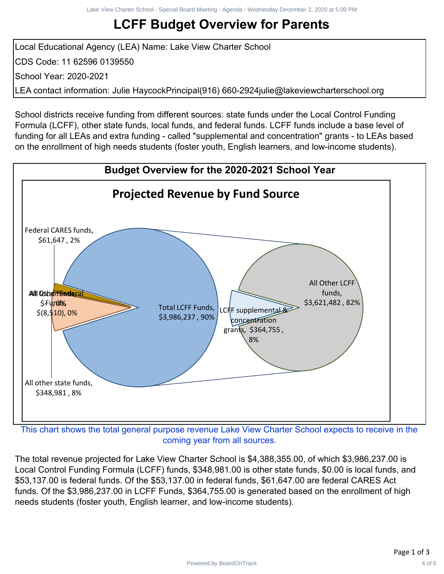# **LCFF Budget Overview for Parents**

Local Educational Agency (LEA) Name: Lake View Charter School CDS Code: 11 62596 0139550 School Year: 2020-2021 LEA contact information: Julie HaycockPrincipal(916) 660-2924julie@lakeviewcharterschool.org

School districts receive funding from different sources: state funds under the Local Control Funding Formula (LCFF), other state funds, local funds, and federal funds. LCFF funds include a base level of funding for all LEAs and extra funding - called "supplemental and concentration" grants - to LEAs based on the enrollment of high needs students (foster youth, English learners, and low-income students).



This chart shows the total general purpose revenue Lake View Charter School expects to receive in the coming year from all sources.

The total revenue projected for Lake View Charter School is \$4,388,355.00, of which \$3,986,237.00 is Local Control Funding Formula (LCFF) funds, \$348,981.00 is other state funds, \$0.00 is local funds, and \$53,137.00 is federal funds. Of the \$53,137.00 in federal funds, \$61,647.00 are federal CARES Act funds. Of the \$3,986,237.00 in LCFF Funds, \$364,755.00 is generated based on the enrollment of high needs students (foster youth, English learner, and low-income students).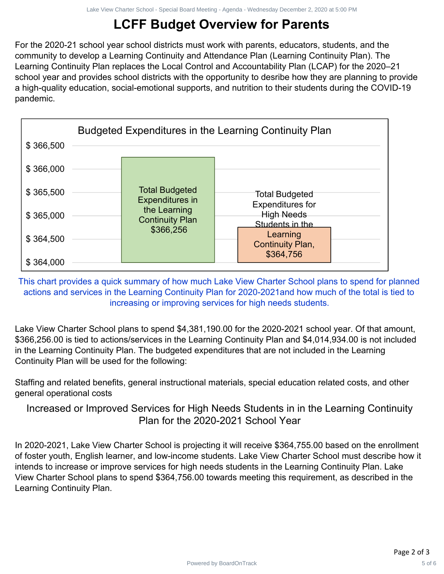# **LCFF Budget Overview for Parents**

For the 2020-21 school year school districts must work with parents, educators, students, and the community to develop a Learning Continuity and Attendance Plan (Learning Continuity Plan). The Learning Continuity Plan replaces the Local Control and Accountability Plan (LCAP) for the 2020–21 school year and provides school districts with the opportunity to desribe how they are planning to provide a high-quality education, social-emotional supports, and nutrition to their students during the COVID-19 pandemic.



This chart provides a quick summary of how much Lake View Charter School plans to spend for planned actions and services in the Learning Continuity Plan for 2020-2021and how much of the total is tied to increasing or improving services for high needs students.

Lake View Charter School plans to spend \$4,381,190.00 for the 2020-2021 school year. Of that amount, \$366,256.00 is tied to actions/services in the Learning Continuity Plan and \$4,014,934.00 is not included in the Learning Continuity Plan. The budgeted expenditures that are not included in the Learning Continuity Plan will be used for the following:

Staffing and related benefits, general instructional materials, special education related costs, and other general operational costs

Increased or Improved Services for High Needs Students in in the Learning Continuity Plan for the 2020-2021 School Year

In 2020-2021, Lake View Charter School is projecting it will receive \$364,755.00 based on the enrollment of foster youth, English learner, and low-income students. Lake View Charter School must describe how it intends to increase or improve services for high needs students in the Learning Continuity Plan. Lake View Charter School plans to spend \$364,756.00 towards meeting this requirement, as described in the Learning Continuity Plan.